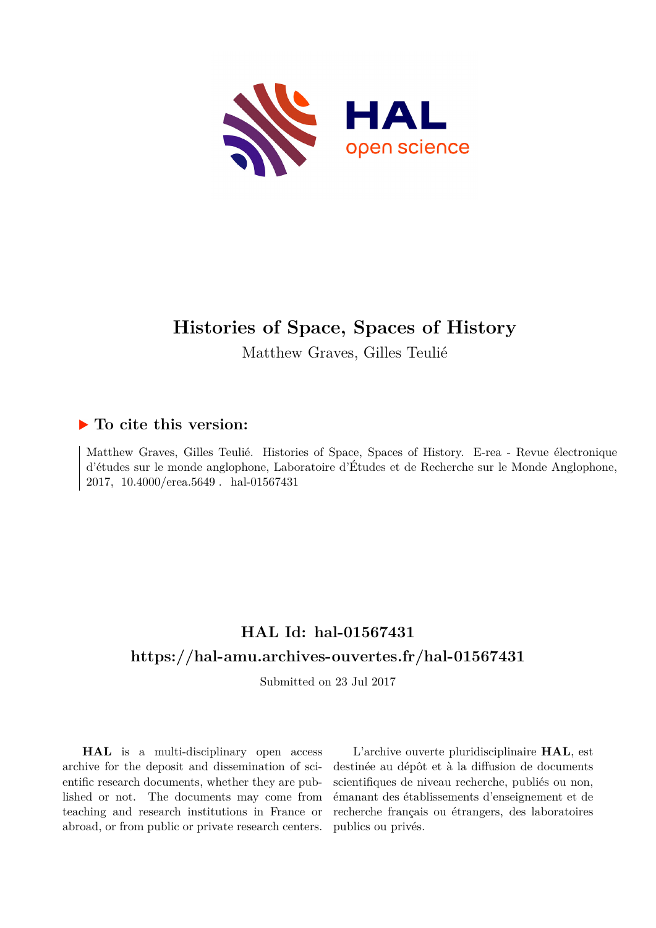

# **Histories of Space, Spaces of History**

Matthew Graves, Gilles Teulié

## **To cite this version:**

Matthew Graves, Gilles Teulié. Histories of Space, Spaces of History. E-rea - Revue électronique d'études sur le monde anglophone, Laboratoire d'Études et de Recherche sur le Monde Anglophone, 2017, 10.4000/erea.5649. hal-01567431

# **HAL Id: hal-01567431 <https://hal-amu.archives-ouvertes.fr/hal-01567431>**

Submitted on 23 Jul 2017

**HAL** is a multi-disciplinary open access archive for the deposit and dissemination of scientific research documents, whether they are published or not. The documents may come from teaching and research institutions in France or abroad, or from public or private research centers.

L'archive ouverte pluridisciplinaire **HAL**, est destinée au dépôt et à la diffusion de documents scientifiques de niveau recherche, publiés ou non, émanant des établissements d'enseignement et de recherche français ou étrangers, des laboratoires publics ou privés.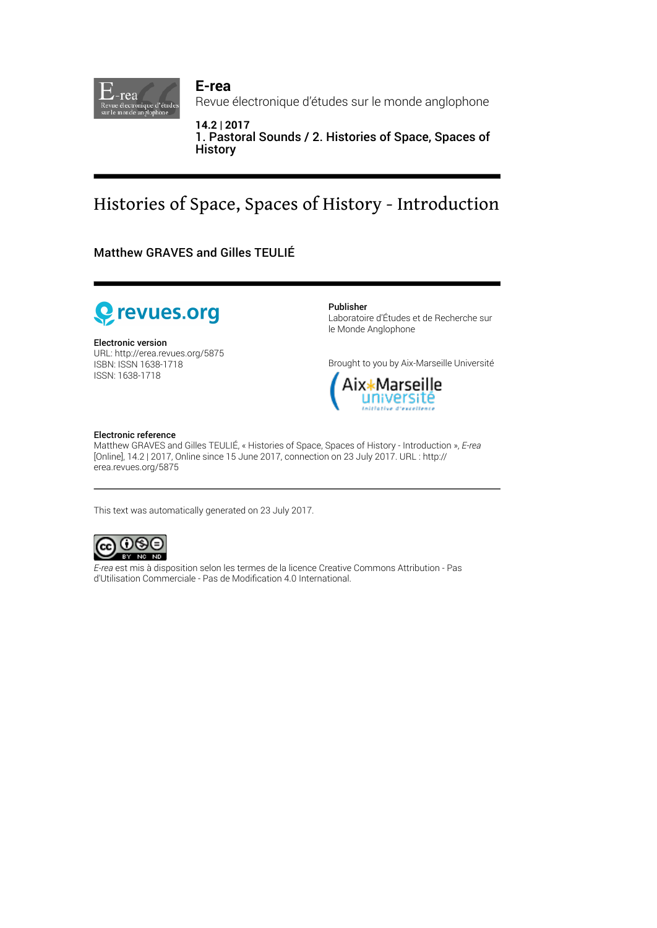

**E-rea** Revue électronique d'études sur le monde anglophone

**14.2 | 2017** 1. Pastoral Sounds / 2. Histories of Space, Spaces of **History** 

# Histories of Space, Spaces of History - Introduction

Matthew GRAVES and Gilles TEULIÉ



Electronic version URL:<http://erea.revues.org/5875> ISBN: ISSN 1638-1718 ISSN: 1638-1718

Publisher

Laboratoire d'Études et de Recherche sur le Monde Anglophone

Brought to you by Aix-Marseille Université



#### Electronic reference

Matthew GRAVES and Gilles TEULIÉ, « Histories of Space, Spaces of History - Introduction », *E-rea* [Online], 14.2 | 2017, Online since 15 June 2017, connection on 23 July 2017. URL : http:// erea.revues.org/5875

This text was automatically generated on 23 July 2017.



*E-rea* est mis à disposition selon les termes de la [licence Creative Commons Attribution - Pas](http://creativecommons.org/licenses/by-nc-nd/4.0/) [d'Utilisation Commerciale - Pas de Modi](http://creativecommons.org/licenses/by-nc-nd/4.0/)fication 4.0 International.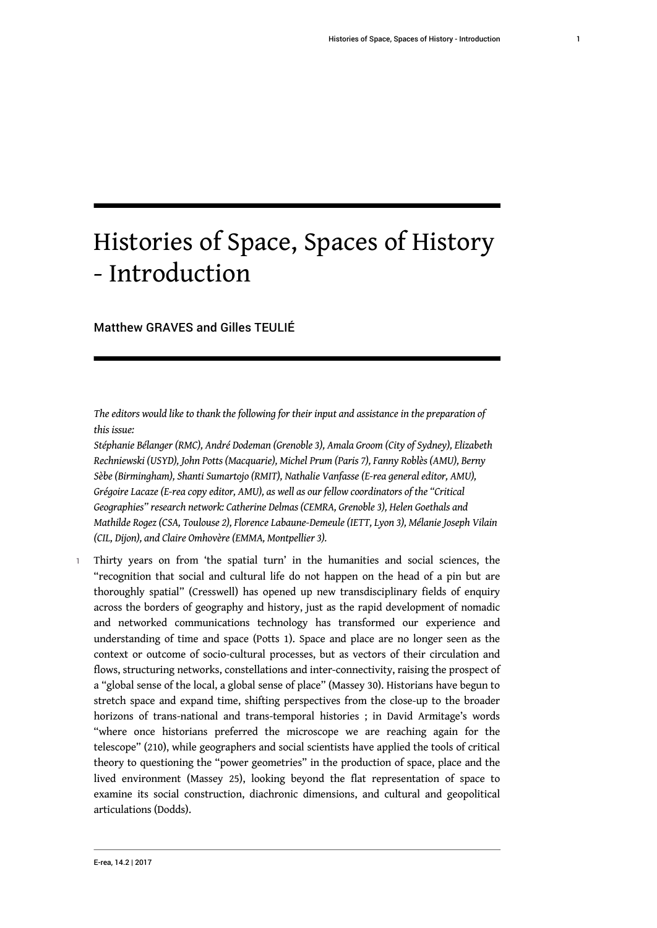# Histories of Space, Spaces of History - Introduction

Matthew GRAVES and Gilles TEULIÉ

*The editors would like to thank the following for their input and assistance in the preparation of this issue:*

*Stéphanie Bélanger (RMC), André Dodeman (Grenoble 3), Amala Groom (City of Sydney), Elizabeth Rechniewski (USYD), John Potts (Macquarie), Michel Prum (Paris 7), Fanny Roblès (AMU), Berny Sèbe (Birmingham), Shanti Sumartojo (RMIT), Nathalie Vanfasse (E-rea general editor, AMU), Grégoire Lacaze (E-rea copy editor, AMU), as well as our fellow coordinators of the "Critical Geographies" research network: Catherine Delmas (CEMRA, Grenoble 3), Helen Goethals and Mathilde Rogez (CSA, Toulouse 2), Florence Labaune-Demeule (IETT, Lyon 3), Mélanie Joseph Vilain (CIL, Dijon), and Claire Omhovère (EMMA, Montpellier 3).*

1 Thirty years on from 'the spatial turn' in the humanities and social sciences, the "recognition that social and cultural life do not happen on the head of a pin but are thoroughly spatial" (Cresswell) has opened up new transdisciplinary fields of enquiry across the borders of geography and history, just as the rapid development of nomadic and networked communications technology has transformed our experience and understanding of time and space (Potts 1). Space and place are no longer seen as the context or outcome of socio-cultural processes, but as vectors of their circulation and flows, structuring networks, constellations and inter-connectivity, raising the prospect of a "global sense of the local, a global sense of place" (Massey 30). Historians have begun to stretch space and expand time, shifting perspectives from the close-up to the broader horizons of trans-national and trans-temporal histories ; in David Armitage's words "where once historians preferred the microscope we are reaching again for the telescope" (210), while geographers and social scientists have applied the tools of critical theory to questioning the "power geometries" in the production of space, place and the lived environment (Massey 25), looking beyond the flat representation of space to examine its social construction, diachronic dimensions, and cultural and geopolitical articulations (Dodds).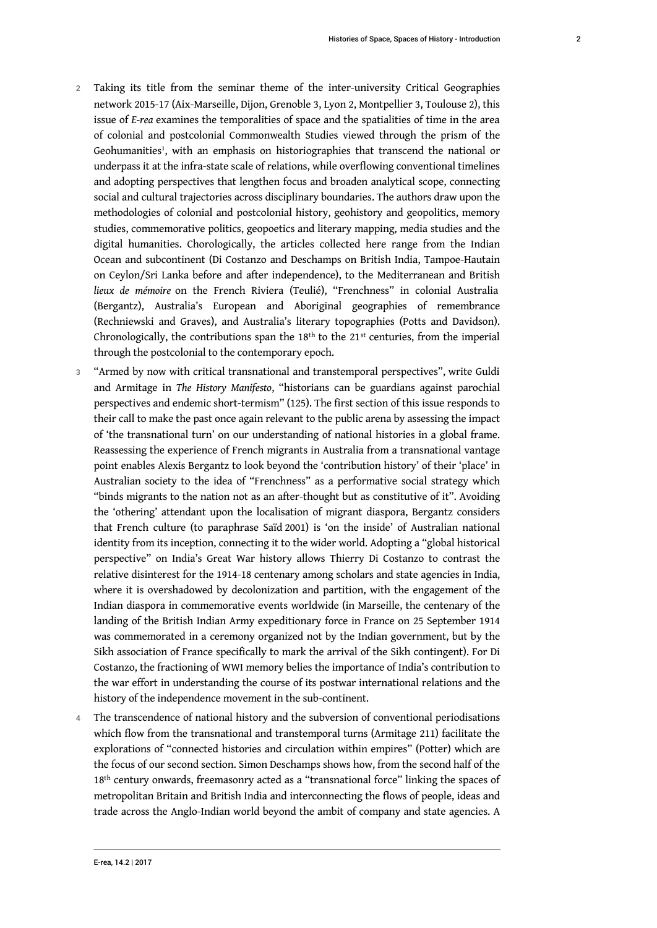- <span id="page-3-0"></span>2 Taking its title from the seminar theme of the inter-university Critical Geographies network 2015-17 (Aix-Marseille, Dijon, Grenoble 3, Lyon 2, Montpellier 3, Toulouse 2), this issue of *E-rea* examines the temporalities of space and the spatialities of time in the area of colonial and postcolonial Commonwealth Studies viewed through the prism of the Geohumanities<sup>[1](#page-6-0)</sup>, with an emphasis on historiographies that transcend the national or underpass it at the infra-state scale of relations, while overflowing conventional timelines and adopting perspectives that lengthen focus and broaden analytical scope, connecting social and cultural trajectories across disciplinary boundaries. The authors draw upon the methodologies of colonial and postcolonial history, geohistory and geopolitics, memory studies, commemorative politics, geopoetics and literary mapping, media studies and the digital humanities. Chorologically, the articles collected here range from the Indian Ocean and subcontinent (Di Costanzo and Deschamps on British India, Tampoe-Hautain on Ceylon/Sri Lanka before and after independence), to the Mediterranean and British *lieux de mémoire* on the French Riviera (Teulié), "Frenchness" in colonial Australia (Bergantz), Australia's European and Aboriginal geographies of remembrance (Rechniewski and Graves), and Australia's literary topographies (Potts and Davidson). Chronologically, the contributions span the 18<sup>th</sup> to the 21<sup>st</sup> centuries, from the imperial through the postcolonial to the contemporary epoch.
- 3 "Armed by now with critical transnational and transtemporal perspectives", write Guldi and Armitage in *The History Manifesto*, "historians can be guardians against parochial perspectives and endemic short-termism" (125). The first section of this issue responds to their call to make the past once again relevant to the public arena by assessing the impact of 'the transnational turn' on our understanding of national histories in a global frame. Reassessing the experience of French migrants in Australia from a transnational vantage point enables Alexis Bergantz to look beyond the 'contribution history' of their 'place' in Australian society to the idea of "Frenchness" as a performative social strategy which "binds migrants to the nation not as an after-thought but as constitutive of it". Avoiding the 'othering' attendant upon the localisation of migrant diaspora, Bergantz considers that French culture (to paraphrase Saïd 2001) is 'on the inside' of Australian national identity from its inception, connecting it to the wider world. Adopting a "global historical perspective" on India's Great War history allows Thierry Di Costanzo to contrast the relative disinterest for the 1914-18 centenary among scholars and state agencies in India, where it is overshadowed by decolonization and partition, with the engagement of the Indian diaspora in commemorative events worldwide (in Marseille, the centenary of the landing of the British Indian Army expeditionary force in France on 25 September 1914 was commemorated in a ceremony organized not by the Indian government, but by the Sikh association of France specifically to mark the arrival of the Sikh contingent). For Di Costanzo, the fractioning of WWI memory belies the importance of India's contribution to the war effort in understanding the course of its postwar international relations and the history of the independence movement in the sub-continent.
- 4 The transcendence of national history and the subversion of conventional periodisations which flow from the transnational and transtemporal turns (Armitage 211) facilitate the explorations of "connected histories and circulation within empires" (Potter) which are the focus of our second section. Simon Deschamps shows how, from the second half of the 18<sup>th</sup> century onwards, freemasonry acted as a "transnational force" linking the spaces of metropolitan Britain and British India and interconnecting the flows of people, ideas and trade across the Anglo-Indian world beyond the ambit of company and state agencies. A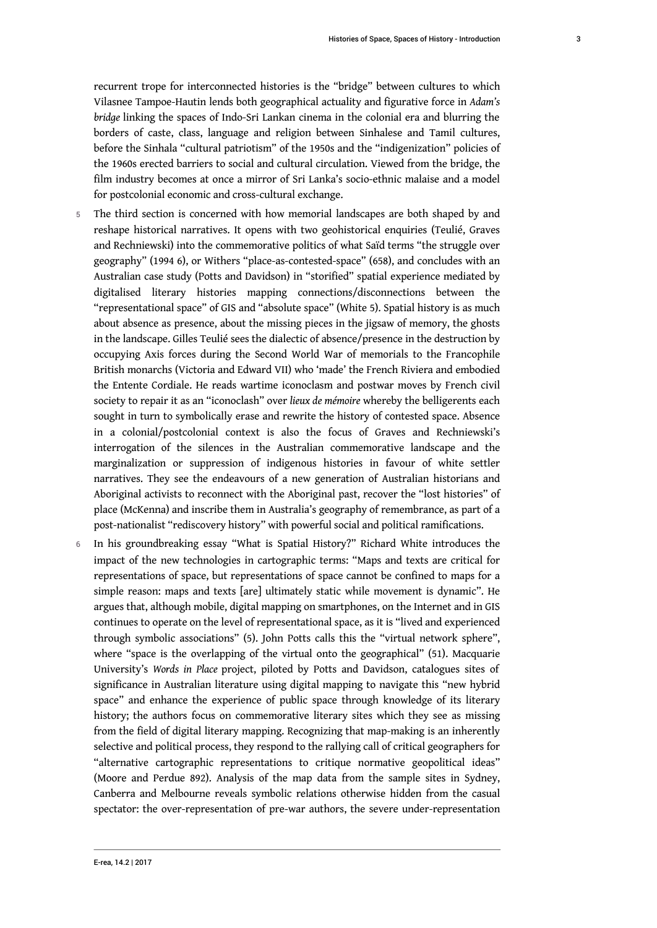borders of caste, class, language and religion between Sinhalese and Tamil cultures, before the Sinhala "cultural patriotism" of the 1950s and the "indigenization" policies of the 1960s erected barriers to social and cultural circulation. Viewed from the bridge, the film industry becomes at once a mirror of Sri Lanka's socio-ethnic malaise and a model for postcolonial economic and cross-cultural exchange.

- 5 The third section is concerned with how memorial landscapes are both shaped by and reshape historical narratives. It opens with two geohistorical enquiries (Teulié, Graves and Rechniewski) into the commemorative politics of what Saïd terms "the struggle over geography" (1994 6), or Withers "place-as-contested-space" (658), and concludes with an Australian case study (Potts and Davidson) in "storified" spatial experience mediated by digitalised literary histories mapping connections/disconnections between the "representational space" of GIS and "absolute space" (White 5). Spatial history is as much about absence as presence, about the missing pieces in the jigsaw of memory, the ghosts in the landscape. Gilles Teulié sees the dialectic of absence/presence in the destruction by occupying Axis forces during the Second World War of memorials to the Francophile British monarchs (Victoria and Edward VII) who 'made' the French Riviera and embodied the Entente Cordiale. He reads wartime iconoclasm and postwar moves by French civil society to repair it as an "iconoclash" over *lieux de mémoire* whereby the belligerents each sought in turn to symbolically erase and rewrite the history of contested space. Absence in a colonial/postcolonial context is also the focus of Graves and Rechniewski's interrogation of the silences in the Australian commemorative landscape and the marginalization or suppression of indigenous histories in favour of white settler narratives. They see the endeavours of a new generation of Australian historians and Aboriginal activists to reconnect with the Aboriginal past, recover the "lost histories" of place (McKenna) and inscribe them in Australia's geography of remembrance, as part of a post-nationalist "rediscovery history" with powerful social and political ramifications.
- 6 In his groundbreaking essay "What is Spatial History?" Richard White introduces the impact of the new technologies in cartographic terms: "Maps and texts are critical for representations of space, but representations of space cannot be confined to maps for a simple reason: maps and texts [are] ultimately static while movement is dynamic". He argues that, although mobile, digital mapping on smartphones, on the Internet and in GIS continues to operate on the level of representational space, as it is "lived and experienced through symbolic associations" (5). John Potts calls this the "virtual network sphere", where "space is the overlapping of the virtual onto the geographical" (51). Macquarie University's *Words in Place* project, piloted by Potts and Davidson, catalogues sites of significance in Australian literature using digital mapping to navigate this "new hybrid space" and enhance the experience of public space through knowledge of its literary history; the authors focus on commemorative literary sites which they see as missing from the field of digital literary mapping. Recognizing that map-making is an inherently selective and political process, they respond to the rallying call of critical geographers for "alternative cartographic representations to critique normative geopolitical ideas" (Moore and Perdue 892). Analysis of the map data from the sample sites in Sydney, Canberra and Melbourne reveals symbolic relations otherwise hidden from the casual spectator: the over-representation of pre-war authors, the severe under-representation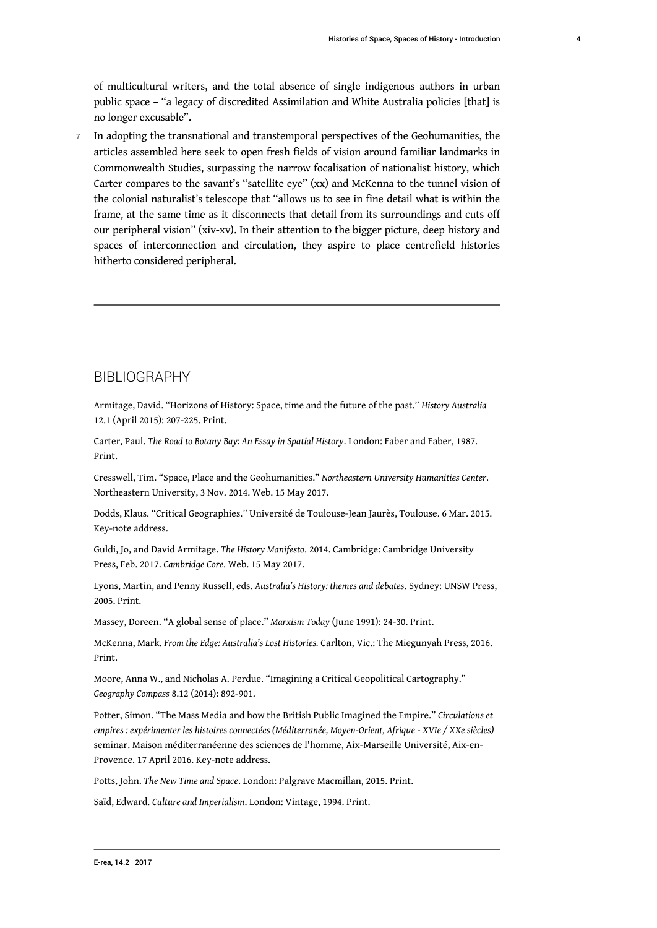of multicultural writers, and the total absence of single indigenous authors in urban public space – "a legacy of discredited Assimilation and White Australia policies [that] is no longer excusable".

7 In adopting the transnational and transtemporal perspectives of the Geohumanities, the articles assembled here seek to open fresh fields of vision around familiar landmarks in Commonwealth Studies, surpassing the narrow focalisation of nationalist history, which Carter compares to the savant's "satellite eye" (xx) and McKenna to the tunnel vision of the colonial naturalist's telescope that "allows us to see in fine detail what is within the frame, at the same time as it disconnects that detail from its surroundings and cuts off our peripheral vision" (xiv-xv). In their attention to the bigger picture, deep history and spaces of interconnection and circulation, they aspire to place centrefield histories hitherto considered peripheral.

#### BIBLIOGRAPHY

Armitage, David. "Horizons of History: Space, time and the future of the past." *History Australia* 12.1 (April 2015): 207-225. Print.

Carter, Paul. *The Road to Botany Bay: An Essay in Spatial History*. London: Faber and Faber, 1987. Print.

Cresswell, Tim. "Space, Place and the Geohumanities." *Northeastern University Humanities Center*. Northeastern University, 3 Nov. 2014. Web. 15 May 2017.

Dodds, Klaus. "Critical Geographies." Université de Toulouse-Jean Jaurès, Toulouse. 6 Mar. 2015. Key-note address.

Guldi, Jo, and David Armitage. *The History Manifesto*. 2014. Cambridge: Cambridge University Press, Feb. 2017. *Cambridge Core*. Web. 15 May 2017.

Lyons, Martin, and Penny Russell, eds. *Australia's History: themes and debates*. Sydney: UNSW Press, 2005. Print.

Massey, Doreen. "A global sense of place." *Marxism Today* (June 1991): 24-30. Print.

McKenna, Mark. *From the Edge: Australia's Lost Histories.* Carlton, Vic.: The Miegunyah Press, 2016. Print.

Moore, Anna W., and Nicholas A. Perdue. "Imagining a Critical Geopolitical Cartography." *Geography Compass* 8.12 (2014): 892-901.

Potter, Simon. "The Mass Media and how the British Public Imagined the Empire." *Circulations et empires : expérimenter les histoires connectées (Méditerranée, Moyen-Orient, Afrique - XVIe / XXe siècles)* seminar. Maison méditerranéenne des sciences de l'homme, Aix-Marseille Université, Aix-en-Provence. 17 April 2016. Key-note address.

Potts, John. *The New Time and Space*. London: Palgrave Macmillan, 2015. Print.

Saïd, Edward. *Culture and Imperialism*. London: Vintage, 1994. Print.